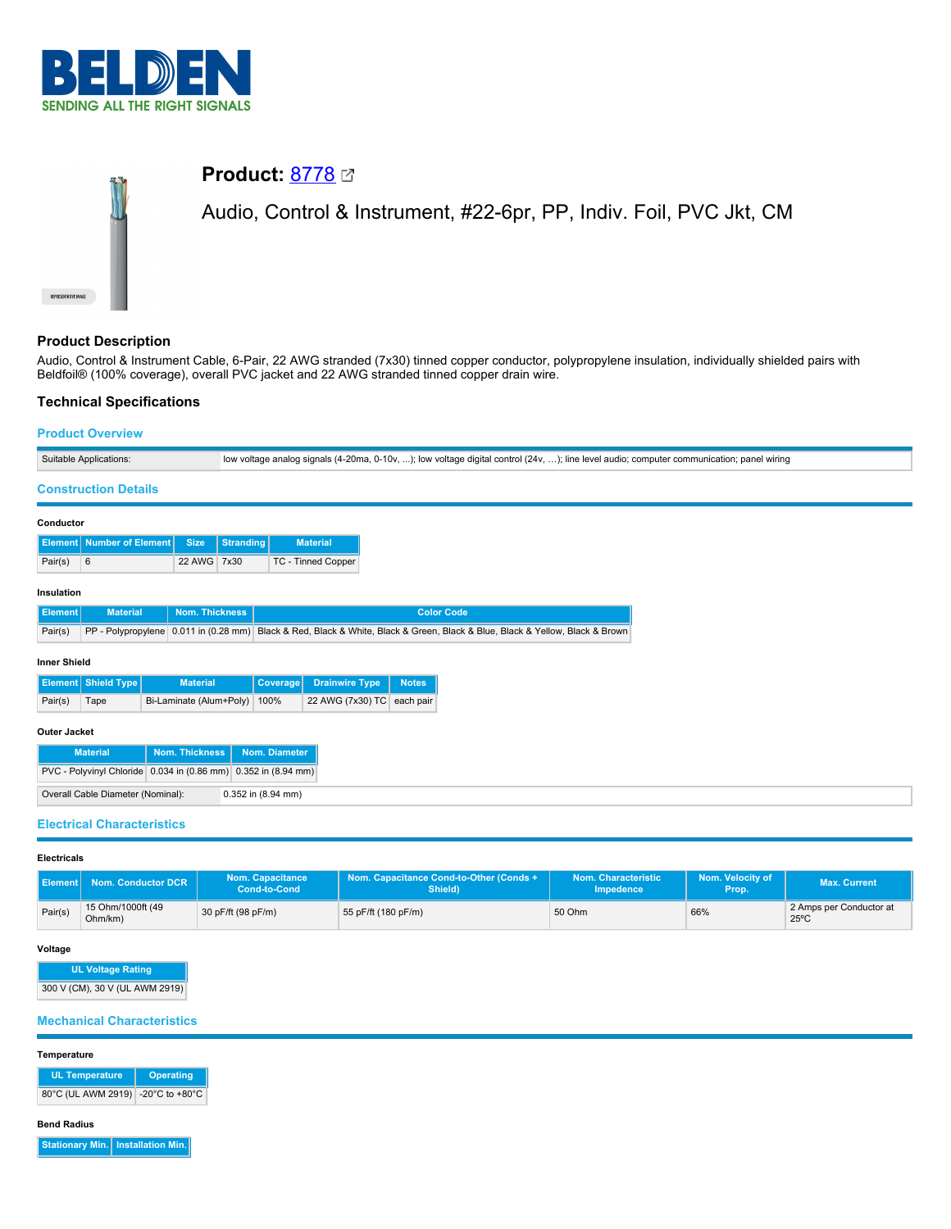

# **Product:** [8778](https://catalog.belden.com/index.cfm?event=pd&p=PF_8778&tab=downloads) Audio, Control & Instrument, #22-6pr, PP, Indiv. Foil, PVC Jkt, CM

# **Product Description**

Audio, Control & Instrument Cable, 6-Pair, 22 AWG stranded (7x30) tinned copper conductor, polypropylene insulation, individually shielded pairs with Beldfoil® (100% coverage), overall PVC jacket and 22 AWG stranded tinned copper drain wire.

# **Technical Specifications**

# **Product Overview**

|                                                         | Suitable Applications:<br>low voltage analog signals (4-20ma, 0-10v, ); low voltage digital control (24v, ); line level audio; computer communication; panel wiring |                                                                |                  |                 |                            |                                                                                                                              |  |
|---------------------------------------------------------|---------------------------------------------------------------------------------------------------------------------------------------------------------------------|----------------------------------------------------------------|------------------|-----------------|----------------------------|------------------------------------------------------------------------------------------------------------------------------|--|
|                                                         | <b>Construction Details</b>                                                                                                                                         |                                                                |                  |                 |                            |                                                                                                                              |  |
| Conductor                                               |                                                                                                                                                                     |                                                                |                  |                 |                            |                                                                                                                              |  |
|                                                         | <b>Element</b> Number of Element                                                                                                                                    | <b>Size</b>                                                    | <b>Stranding</b> |                 | <b>Material</b>            |                                                                                                                              |  |
| Pair(s)                                                 | 6                                                                                                                                                                   | 22 AWG 7x30                                                    |                  |                 | TC - Tinned Copper         |                                                                                                                              |  |
| Insulation                                              |                                                                                                                                                                     |                                                                |                  |                 |                            |                                                                                                                              |  |
| <b>Element</b>                                          | <b>Material</b>                                                                                                                                                     | Nom. Thickness                                                 |                  |                 |                            | <b>Color Code</b>                                                                                                            |  |
| Pair(s)                                                 |                                                                                                                                                                     |                                                                |                  |                 |                            | PP - Polypropylene 0.011 in (0.28 mm) Black & Red, Black & White, Black & Green, Black & Blue, Black & Yellow, Black & Brown |  |
| <b>Inner Shield</b>                                     |                                                                                                                                                                     |                                                                |                  |                 |                            |                                                                                                                              |  |
|                                                         | <b>Element</b> Shield Type                                                                                                                                          | <b>Material</b>                                                |                  | <b>Coverage</b> | <b>Drainwire Type</b>      | <b>Notes</b>                                                                                                                 |  |
| Pair(s)                                                 | Tape                                                                                                                                                                | Bi-Laminate (Alum+Poly) 100%                                   |                  |                 | 22 AWG (7x30) TC each pair |                                                                                                                              |  |
| Outer Jacket                                            |                                                                                                                                                                     |                                                                |                  |                 |                            |                                                                                                                              |  |
|                                                         | <b>Material</b>                                                                                                                                                     | <b>Nom. Thickness</b>                                          |                  | Nom. Diameter   |                            |                                                                                                                              |  |
|                                                         |                                                                                                                                                                     | PVC - Polyvinyl Chloride 0.034 in (0.86 mm) 0.352 in (8.94 mm) |                  |                 |                            |                                                                                                                              |  |
| Overall Cable Diameter (Nominal):<br>0.352 in (8.94 mm) |                                                                                                                                                                     |                                                                |                  |                 |                            |                                                                                                                              |  |
|                                                         | <b>Electrical Characteristics</b>                                                                                                                                   |                                                                |                  |                 |                            |                                                                                                                              |  |

# **Electricals**

| l Element I | Nom. Conductor DCR           | <b>Nom. Capacitance</b><br>Cond-to-Cond | Nom. Capacitance Cond-to-Other (Conds + 1<br>Shield) | Nom. Characteristic<br><b>Impedence</b> | Nom. Velocity of<br>Prop. | <b>Max. Current</b>                       |
|-------------|------------------------------|-----------------------------------------|------------------------------------------------------|-----------------------------------------|---------------------------|-------------------------------------------|
| Pair(s)     | 15 Ohm/1000ft (49<br>Ohm/km) | 30 pF/ft (98 pF/m)                      | 55 pF/ft (180 pF/m)                                  | 50 Ohm                                  | 66%                       | 2 Amps per Conductor at<br>$25^{\circ}$ C |

### **Voltage**

**UL Voltage Rating** 300 V (CM), 30 V (UL AWM 2919)

## **Mechanical Characteristics**

#### **Temperature**

**UL Temperature Operating** 80°C (UL AWM 2919) -20°C to +80°C

#### **Bend Radius**

**Stationary Min. Installation Min.**